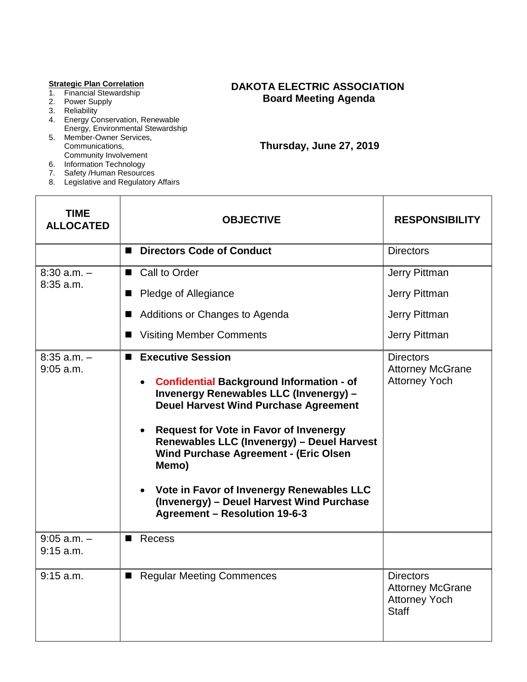#### **Strategic Plan Correlation**

- 1. Financial Stewardship
- 2. Power Supply
- 3. Reliability
- 4. Energy Conservation, Renewable Energy, Environmental Stewardship
- 5. Member-Owner Services, Communications, Community Involvement
- 6. Information Technology
- 7. Safety /Human Resources
- 8. Legislative and Regulatory Affairs

## **DAKOTA ELECTRIC ASSOCIATION Board Meeting Agenda**

 **Thursday, June 27, 2019**

| <b>TIME</b><br><b>ALLOCATED</b> | <b>OBJECTIVE</b>                                                                                                                                                                                                                                                                                                                                                                                                                                                                                       | <b>RESPONSIBILITY</b>                                                               |
|---------------------------------|--------------------------------------------------------------------------------------------------------------------------------------------------------------------------------------------------------------------------------------------------------------------------------------------------------------------------------------------------------------------------------------------------------------------------------------------------------------------------------------------------------|-------------------------------------------------------------------------------------|
|                                 | <b>Directors Code of Conduct</b><br>п                                                                                                                                                                                                                                                                                                                                                                                                                                                                  | <b>Directors</b>                                                                    |
| $8:30$ a.m. $-$<br>$8:35$ a.m.  | ■ Call to Order                                                                                                                                                                                                                                                                                                                                                                                                                                                                                        | Jerry Pittman                                                                       |
|                                 | Pledge of Allegiance                                                                                                                                                                                                                                                                                                                                                                                                                                                                                   | Jerry Pittman                                                                       |
|                                 | Additions or Changes to Agenda                                                                                                                                                                                                                                                                                                                                                                                                                                                                         | Jerry Pittman                                                                       |
|                                 | <b>Visiting Member Comments</b>                                                                                                                                                                                                                                                                                                                                                                                                                                                                        | Jerry Pittman                                                                       |
| $8:35$ a.m. $-$<br>$9:05$ a.m.  | <b>Executive Session</b><br><b>Confidential Background Information - of</b><br>$\bullet$<br><b>Invenergy Renewables LLC (Invenergy) -</b><br><b>Deuel Harvest Wind Purchase Agreement</b><br><b>Request for Vote in Favor of Invenergy</b><br>$\bullet$<br>Renewables LLC (Invenergy) - Deuel Harvest<br><b>Wind Purchase Agreement - (Eric Olsen</b><br>Memo)<br>Vote in Favor of Invenergy Renewables LLC<br>$\bullet$<br>(Invenergy) - Deuel Harvest Wind Purchase<br>Agreement - Resolution 19-6-3 | <b>Directors</b><br><b>Attorney McGrane</b><br><b>Attorney Yoch</b>                 |
| $9:05$ a.m. $-$<br>$9:15$ a.m.  | Recess                                                                                                                                                                                                                                                                                                                                                                                                                                                                                                 |                                                                                     |
| $9:15$ a.m.                     | <b>Regular Meeting Commences</b>                                                                                                                                                                                                                                                                                                                                                                                                                                                                       | <b>Directors</b><br><b>Attorney McGrane</b><br><b>Attorney Yoch</b><br><b>Staff</b> |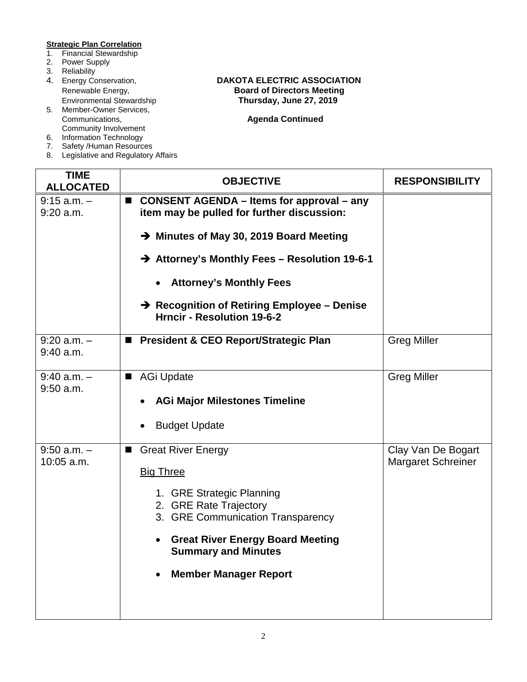# **Strategic Plan Correlation**<br>1. Financial Stewardship

- **Financial Stewardship**
- 2. Power Supply
- 
- 3. Reliability<br>4. Energy Conservation,
- 5. Member-Owner Services, Community Involvement
- 6. Information Technology
- 7. Safety /Human Resources
- 8. Legislative and Regulatory Affairs

### Energy Conservation, **DAKOTA ELECTRIC ASSOCIATION**<br>Renewable Energy, **DAKOTA Board of Directors Meeting** Renewable Energy, **Board of Directors Meeting**<br>
Environmental Stewardship<br> **Renewable Englering**<br> **Board of Directors Meeting** Environmental Stewardship **Thursday, June 27, 2019**

**Agenda Continued** 

| <b>TIME</b><br><b>ALLOCATED</b> | <b>OBJECTIVE</b>                                                                                                                                                                                                                                                                                                                               | <b>RESPONSIBILITY</b>                           |
|---------------------------------|------------------------------------------------------------------------------------------------------------------------------------------------------------------------------------------------------------------------------------------------------------------------------------------------------------------------------------------------|-------------------------------------------------|
| $9:15$ a.m. $-$<br>$9:20$ a.m.  | <b>CONSENT AGENDA - Items for approval - any</b><br>$\blacksquare$<br>item may be pulled for further discussion:<br>→ Minutes of May 30, 2019 Board Meeting<br>→ Attorney's Monthly Fees - Resolution 19-6-1<br><b>Attorney's Monthly Fees</b><br>$\rightarrow$ Recognition of Retiring Employee – Denise<br><b>Hrncir - Resolution 19-6-2</b> |                                                 |
| $9:20$ a.m. $-$<br>$9:40$ a.m.  | ■ President & CEO Report/Strategic Plan                                                                                                                                                                                                                                                                                                        | <b>Greg Miller</b>                              |
| $9:40$ a.m. $-$<br>$9:50$ a.m.  | <b>AGi Update</b><br>■<br><b>AGi Major Milestones Timeline</b><br><b>Budget Update</b>                                                                                                                                                                                                                                                         | <b>Greg Miller</b>                              |
| $9:50$ a.m. $-$<br>10:05 a.m.   | <b>Great River Energy</b><br><b>Big Three</b><br>1. GRE Strategic Planning<br>2. GRE Rate Trajectory<br>3. GRE Communication Transparency<br><b>Great River Energy Board Meeting</b><br><b>Summary and Minutes</b><br><b>Member Manager Report</b>                                                                                             | Clay Van De Bogart<br><b>Margaret Schreiner</b> |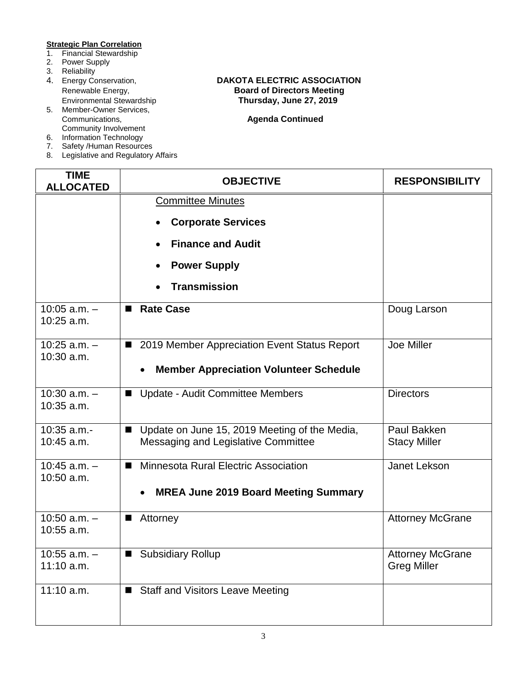# **Strategic Plan Correlation**<br>1. Financial Stewardship

- **Financial Stewardship**
- 2. Power Supply
- 
- 3. Reliability<br>4. Energy Conservation,
- 5. Member-Owner Services, Community Involvement
- 6. Information Technology
- 7. Safety /Human Resources
- 8. Legislative and Regulatory Affairs

### Energy Conservation, **DAKOTA ELECTRIC ASSOCIATION**<br>Renewable Energy, **DAKOTA Board of Directors Meeting** Renewable Energy, **Board of Directors Meeting**<br>
Environmental Stewardship<br> **Renewable Englering**<br> **Board of Directors Meeting** Environmental Stewardship **Thursday, June 27, 2019**

**Agenda Continued** 

| <b>TIME</b><br><b>ALLOCATED</b>  | <b>OBJECTIVE</b>                                                                                       | <b>RESPONSIBILITY</b>                         |
|----------------------------------|--------------------------------------------------------------------------------------------------------|-----------------------------------------------|
|                                  | <b>Committee Minutes</b><br><b>Corporate Services</b>                                                  |                                               |
|                                  | <b>Finance and Audit</b>                                                                               |                                               |
|                                  | <b>Power Supply</b>                                                                                    |                                               |
|                                  | <b>Transmission</b>                                                                                    |                                               |
| $10:05$ a.m. $-$<br>$10:25$ a.m. | <b>Rate Case</b>                                                                                       | Doug Larson                                   |
| $10:25$ a.m. $-$<br>10:30 a.m.   | ■ 2019 Member Appreciation Event Status Report                                                         | Joe Miller                                    |
|                                  | <b>Member Appreciation Volunteer Schedule</b>                                                          |                                               |
| $10:30$ a.m. $-$<br>10:35 a.m.   | ■ Update - Audit Committee Members                                                                     | <b>Directors</b>                              |
| $10:35$ a.m.-<br>10:45 a.m.      | Update on June 15, 2019 Meeting of the Media,<br>$\blacksquare$<br>Messaging and Legislative Committee | Paul Bakken<br><b>Stacy Miller</b>            |
| $10:45$ a.m. $-$<br>10:50 a.m.   | Minnesota Rural Electric Association<br>ш                                                              | Janet Lekson                                  |
|                                  | <b>MREA June 2019 Board Meeting Summary</b><br>$\bullet$                                               |                                               |
| 10:50 $a.m. -$<br>10:55 a.m.     | Attorney<br>■                                                                                          | <b>Attorney McGrane</b>                       |
| $10:55$ a.m. $-$<br>$11:10$ a.m. | <b>Subsidiary Rollup</b>                                                                               | <b>Attorney McGrane</b><br><b>Greg Miller</b> |
| $11:10$ a.m.                     | ■ Staff and Visitors Leave Meeting                                                                     |                                               |